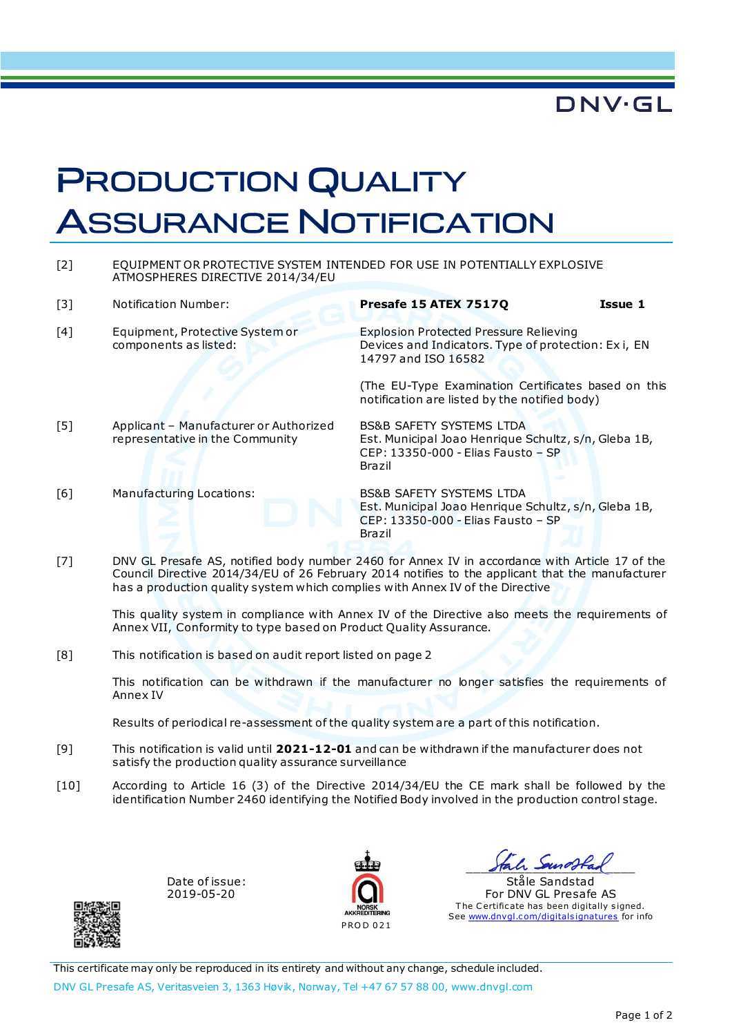## **DNV·GL**

## **PRODUCTION QUALITY ASSURANCE NOTIFICATION**

[2] EQUIPMENT OR PROTECTIVE SYSTEM INTENDED FOR USE IN POTENTIALLY EXPLOSIVE ATMOSPHERES DIRECTIVE 2014/34/EU

| $\lceil 3 \rceil$ | Notification Number:                                                                            | Presafe 15 ATEX 7517Q                                                                                                                       | Issue 1 |  |
|-------------------|-------------------------------------------------------------------------------------------------|---------------------------------------------------------------------------------------------------------------------------------------------|---------|--|
| [4]               | Equipment, Protective System or<br>components as listed:                                        | <b>Explosion Protected Pressure Relieving</b><br>Devices and Indicators. Type of protection: Ex i, EN<br>14797 and ISO 16582                |         |  |
|                   |                                                                                                 | (The EU-Type Examination Certificates based on this<br>notification are listed by the notified body)                                        |         |  |
| [5]               | Applicant - Manufacturer or Authorized<br>representative in the Community                       | <b>BS&amp;B SAFETY SYSTEMS LTDA</b><br>Est. Municipal Joao Henrique Schultz, s/n, Gleba 1B,<br>CEP: 13350-000 - Elias Fausto - SP<br>Brazil |         |  |
| [6]               | Manufacturing Locations:                                                                        | <b>BS&amp;B SAFETY SYSTEMS LTDA</b><br>Est. Municipal Joao Henrique Schultz, s/n, Gleba 1B,<br>CEP: 13350-000 - Elias Fausto - SP<br>Brazil |         |  |
| F71               | DNIV CL Procato AS, potified body number 2460 for Annox IV in accordance with Article 17 of the |                                                                                                                                             |         |  |

[7] DNV GL Presafe AS, notified body number 2460 for Annex IV in accordance with Article 17 of the Council Directive 2014/34/EU of 26 February 2014 notifies to the applicant that the manufacturer has a production quality system which complies with Annex IV of the Directive

This quality system in compliance with Annex IV of the Directive also meets the requirements of Annex VII, Conformity to type based on Product Quality Assurance.

[8] This notification is based on audit report listed on page 2

This notification can be withdrawn if the manufacturer no longer satisfies the requirements of Annex IV

Results of periodical re-assessment of the quality system are a part of this notification.

- [9] This notification is valid until **2021-12-01** and can be withdrawn if the manufacturer does not satisfy the production quality assurance surveillance
- [10] According to Article 16 (3) of the Directive 2014/34/EU the CE mark shall be followed by the identification Number 2460 identifying the Notified Body involved in the production control stage.

Date of issue: 2019-05-20



\_\_\_\_\_\_\_\_\_\_\_\_\_\_\_\_\_\_\_\_\_\_\_

Ståle Sandstad For DNV GL Presafe AS The Certificate has been digitally signed. See [www.dnvgl.c om/digitals ignatures](http://www.dnvgl.com/digitalsignatures) for info

This certificate may only be reproduced in its entirety and without any change, schedule included. DNV GL Presafe AS, Veritasveien 3, 1363 Høvik, Norway, Tel +47 67 57 88 00, www.dnvgl.com